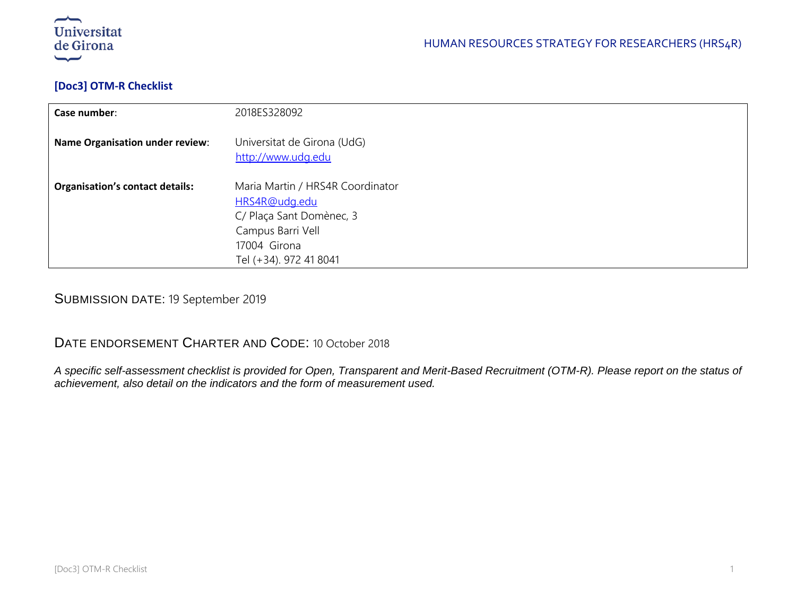

### **[Doc3] OTM-R Checklist**

| Case number:                           | 2018ES328092                                                                                                                                 |
|----------------------------------------|----------------------------------------------------------------------------------------------------------------------------------------------|
| <b>Name Organisation under review:</b> | Universitat de Girona (UdG)<br>http://www.udg.edu                                                                                            |
| <b>Organisation's contact details:</b> | Maria Martin / HRS4R Coordinator<br>HRS4R@udg.edu<br>C/ Plaça Sant Domènec, 3<br>Campus Barri Vell<br>17004 Girona<br>Tel (+34). 972 41 8041 |

SUBMISSION DATE: 19 September 2019

# DATE ENDORSEMENT CHARTER AND CODE: 10 October 2018

*A specific self-assessment checklist is provided for Open, Transparent and Merit-Based Recruitment (OTM-R). Please report on the status of achievement, also detail on the indicators and the form of measurement used.*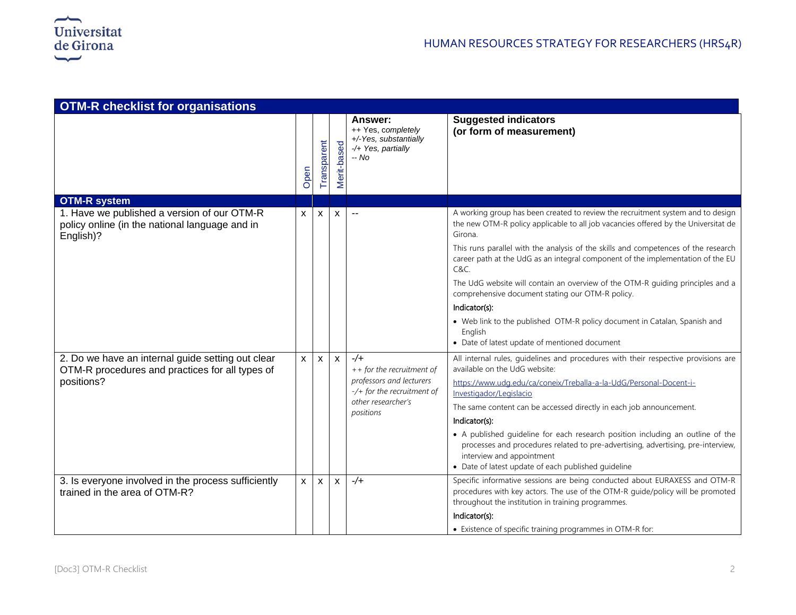| <b>OTM-R checklist for organisations</b>                                                                   |              |              |              |                                                                                                   |                                                                                                                                                                                                                                                        |  |  |
|------------------------------------------------------------------------------------------------------------|--------------|--------------|--------------|---------------------------------------------------------------------------------------------------|--------------------------------------------------------------------------------------------------------------------------------------------------------------------------------------------------------------------------------------------------------|--|--|
|                                                                                                            | Open         | Transparent  | Merit-based  | Answer:<br>++ Yes, completely<br>+/-Yes, substantially<br>-/+ Yes, partially<br>-- No             | <b>Suggested indicators</b><br>(or form of measurement)                                                                                                                                                                                                |  |  |
| <b>OTM-R system</b>                                                                                        |              |              |              |                                                                                                   |                                                                                                                                                                                                                                                        |  |  |
| 1. Have we published a version of our OTM-R<br>policy online (in the national language and in<br>English)? | X            | X            | X            |                                                                                                   | A working group has been created to review the recruitment system and to design<br>the new OTM-R policy applicable to all job vacancies offered by the Universitat de<br>Girona.                                                                       |  |  |
|                                                                                                            |              |              |              |                                                                                                   | This runs parallel with the analysis of the skills and competences of the research<br>career path at the UdG as an integral component of the implementation of the EU<br>C&C.                                                                          |  |  |
|                                                                                                            |              |              |              |                                                                                                   | The UdG website will contain an overview of the OTM-R guiding principles and a<br>comprehensive document stating our OTM-R policy.                                                                                                                     |  |  |
|                                                                                                            |              |              |              |                                                                                                   | Indicator(s):                                                                                                                                                                                                                                          |  |  |
|                                                                                                            |              |              |              |                                                                                                   | • Web link to the published OTM-R policy document in Catalan, Spanish and<br>English<br>• Date of latest update of mentioned document                                                                                                                  |  |  |
| 2. Do we have an internal guide setting out clear<br>OTM-R procedures and practices for all types of       | X            | $\mathsf{x}$ | $\mathsf{x}$ | $-/-$<br>++ for the recruitment of                                                                | All internal rules, guidelines and procedures with their respective provisions are<br>available on the UdG website:                                                                                                                                    |  |  |
| positions?                                                                                                 |              |              |              | professors and lecturers<br>$-\prime$ + for the recruitment of<br>other researcher's<br>positions | https://www.udg.edu/ca/coneix/Treballa-a-la-UdG/Personal-Docent-i-<br>Investigador/Legislacio                                                                                                                                                          |  |  |
|                                                                                                            |              |              |              |                                                                                                   | The same content can be accessed directly in each job announcement.                                                                                                                                                                                    |  |  |
|                                                                                                            |              |              |              |                                                                                                   | Indicator(s):                                                                                                                                                                                                                                          |  |  |
|                                                                                                            |              |              |              |                                                                                                   | • A published guideline for each research position including an outline of the<br>processes and procedures related to pre-advertising, advertising, pre-interview,<br>interview and appointment<br>• Date of latest update of each published guideline |  |  |
| 3. Is everyone involved in the process sufficiently<br>trained in the area of OTM-R?                       | $\mathsf{x}$ | $\mathsf{x}$ | $\mathsf{x}$ | $-/-$                                                                                             | Specific informative sessions are being conducted about EURAXESS and OTM-R<br>procedures with key actors. The use of the OTM-R guide/policy will be promoted<br>throughout the institution in training programmes.                                     |  |  |
|                                                                                                            |              |              |              |                                                                                                   | Indicator(s):                                                                                                                                                                                                                                          |  |  |
|                                                                                                            |              |              |              |                                                                                                   | • Existence of specific training programmes in OTM-R for:                                                                                                                                                                                              |  |  |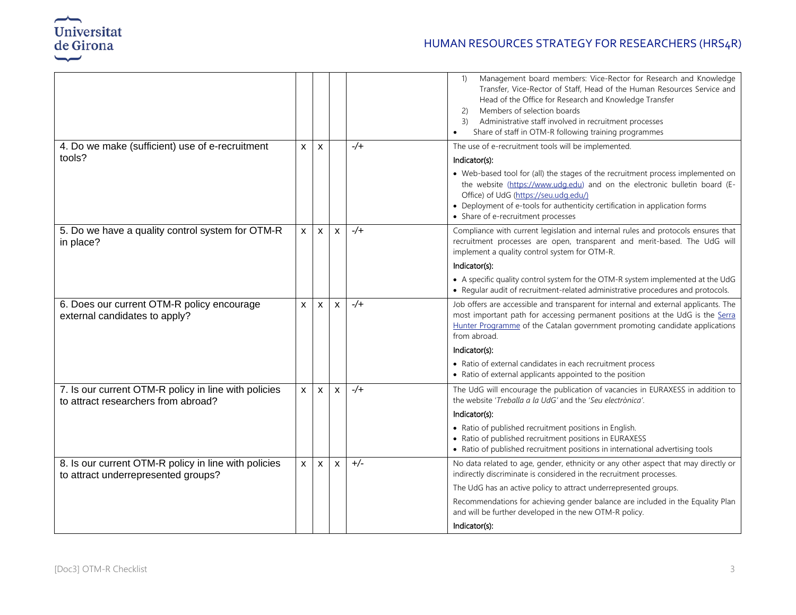

## HUMAN RESOURCES STRATEGY FOR RESEARCHERS (HRS4R)

|                                                                                             |              |                |                           |             | Management board members: Vice-Rector for Research and Knowledge<br>$\left( \begin{matrix} 1 \end{matrix} \right)$<br>Transfer, Vice-Rector of Staff, Head of the Human Resources Service and<br>Head of the Office for Research and Knowledge Transfer<br>Members of selection boards<br>2)<br>Administrative staff involved in recruitment processes<br>3)<br>Share of staff in OTM-R following training programmes |
|---------------------------------------------------------------------------------------------|--------------|----------------|---------------------------|-------------|-----------------------------------------------------------------------------------------------------------------------------------------------------------------------------------------------------------------------------------------------------------------------------------------------------------------------------------------------------------------------------------------------------------------------|
| 4. Do we make (sufficient) use of e-recruitment                                             | $\mathsf{X}$ | X              |                           | $-\sqrt{+}$ | The use of e-recruitment tools will be implemented.                                                                                                                                                                                                                                                                                                                                                                   |
| tools?                                                                                      |              |                |                           |             | Indicator(s):                                                                                                                                                                                                                                                                                                                                                                                                         |
|                                                                                             |              |                |                           |             | • Web-based tool for (all) the stages of the recruitment process implemented on<br>the website (https://www.udg.edu) and on the electronic bulletin board (E-<br>Office) of UdG (https://seu.udg.edu/)<br>• Deployment of e-tools for authenticity certification in application forms<br>• Share of e-recruitment processes                                                                                           |
| 5. Do we have a quality control system for OTM-R<br>in place?                               | $\mathsf{x}$ | X              | X                         | $-\sqrt{+}$ | Compliance with current legislation and internal rules and protocols ensures that<br>recruitment processes are open, transparent and merit-based. The UdG will<br>implement a quality control system for OTM-R.                                                                                                                                                                                                       |
|                                                                                             |              |                |                           |             | Indicator(s):                                                                                                                                                                                                                                                                                                                                                                                                         |
|                                                                                             |              |                |                           |             | • A specific quality control system for the OTM-R system implemented at the UdG<br>• Regular audit of recruitment-related administrative procedures and protocols.                                                                                                                                                                                                                                                    |
| 6. Does our current OTM-R policy encourage<br>external candidates to apply?                 | X            | $\mathsf{x}$   | $\boldsymbol{\mathsf{x}}$ | $-\sqrt{+}$ | Job offers are accessible and transparent for internal and external applicants. The<br>most important path for accessing permanent positions at the UdG is the Serra<br>Hunter Programme of the Catalan government promoting candidate applications<br>from abroad.                                                                                                                                                   |
|                                                                                             |              |                |                           |             | Indicator(s):                                                                                                                                                                                                                                                                                                                                                                                                         |
|                                                                                             |              |                |                           |             | • Ratio of external candidates in each recruitment process<br>• Ratio of external applicants appointed to the position                                                                                                                                                                                                                                                                                                |
| 7. Is our current OTM-R policy in line with policies<br>to attract researchers from abroad? | $\mathsf{x}$ | $\mathsf{X}^-$ | $\mathsf{x}$              | $-\sqrt{+}$ | The UdG will encourage the publication of vacancies in EURAXESS in addition to<br>the website 'Treballa a la UdG' and the 'Seu electrònica'.                                                                                                                                                                                                                                                                          |
|                                                                                             |              |                |                           |             | Indicator(s):                                                                                                                                                                                                                                                                                                                                                                                                         |
|                                                                                             |              |                |                           |             | • Ratio of published recruitment positions in English.<br>• Ratio of published recruitment positions in EURAXESS<br>• Ratio of published recruitment positions in international advertising tools                                                                                                                                                                                                                     |
| 8. Is our current OTM-R policy in line with policies<br>to attract underrepresented groups? | $\mathsf{x}$ | $\mathsf{x}$   | $\boldsymbol{\mathsf{x}}$ | $+/-$       | No data related to age, gender, ethnicity or any other aspect that may directly or<br>indirectly discriminate is considered in the recruitment processes.                                                                                                                                                                                                                                                             |
|                                                                                             |              |                |                           |             | The UdG has an active policy to attract underrepresented groups.                                                                                                                                                                                                                                                                                                                                                      |
|                                                                                             |              |                |                           |             | Recommendations for achieving gender balance are included in the Equality Plan<br>and will be further developed in the new OTM-R policy.                                                                                                                                                                                                                                                                              |
|                                                                                             |              |                |                           |             | Indicator(s):                                                                                                                                                                                                                                                                                                                                                                                                         |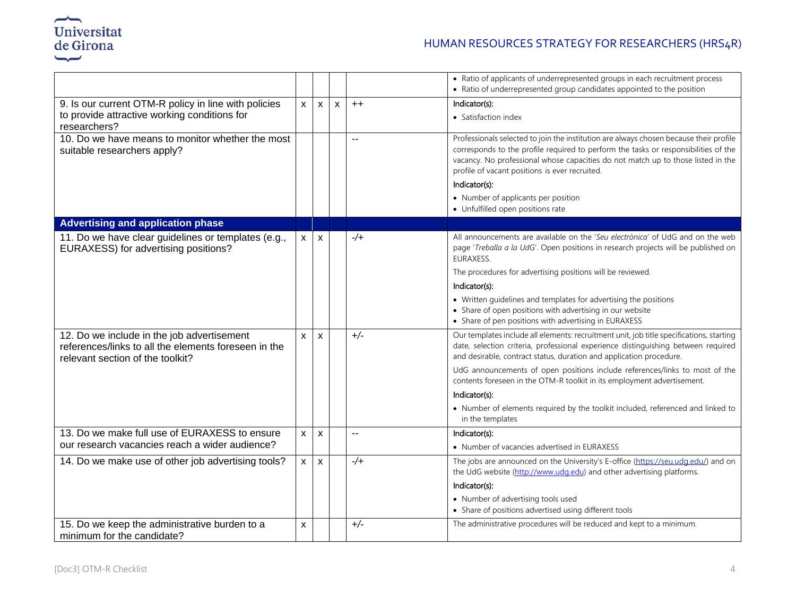

|                                                                                                                                        |              |                    |              |                          | • Ratio of applicants of underrepresented groups in each recruitment process<br>• Ratio of underrepresented group candidates appointed to the position                                                                                                                                                                               |
|----------------------------------------------------------------------------------------------------------------------------------------|--------------|--------------------|--------------|--------------------------|--------------------------------------------------------------------------------------------------------------------------------------------------------------------------------------------------------------------------------------------------------------------------------------------------------------------------------------|
| 9. Is our current OTM-R policy in line with policies<br>to provide attractive working conditions for<br>researchers?                   | $\mathsf{x}$ | $\mathsf{x}$       | $\mathsf{x}$ | $++$                     | Indicator(s):<br>• Satisfaction index                                                                                                                                                                                                                                                                                                |
| 10. Do we have means to monitor whether the most<br>suitable researchers apply?                                                        |              |                    |              | $\overline{a}$           | Professionals selected to join the institution are always chosen because their profile<br>corresponds to the profile required to perform the tasks or responsibilities of the<br>vacancy. No professional whose capacities do not match up to those listed in the<br>profile of vacant positions is ever recruited.<br>Indicator(s): |
|                                                                                                                                        |              |                    |              |                          | • Number of applicants per position<br>• Unfulfilled open positions rate                                                                                                                                                                                                                                                             |
| <b>Advertising and application phase</b>                                                                                               |              |                    |              |                          |                                                                                                                                                                                                                                                                                                                                      |
| 11. Do we have clear guidelines or templates (e.g.,<br>EURAXESS) for advertising positions?                                            | X.           | X                  |              | $-/-$                    | All announcements are available on the 'Seu electrònica' of UdG and on the web<br>page 'Treballa a la UdG'. Open positions in research projects will be published on<br>EURAXESS.                                                                                                                                                    |
|                                                                                                                                        |              |                    |              |                          | The procedures for advertising positions will be reviewed.                                                                                                                                                                                                                                                                           |
|                                                                                                                                        |              |                    |              |                          | Indicator(s):                                                                                                                                                                                                                                                                                                                        |
|                                                                                                                                        |              |                    |              |                          | • Written guidelines and templates for advertising the positions<br>• Share of open positions with advertising in our website<br>• Share of pen positions with advertising in EURAXESS                                                                                                                                               |
| 12. Do we include in the job advertisement<br>references/links to all the elements foreseen in the<br>relevant section of the toolkit? | X            | X                  |              | $+/-$                    | Our templates include all elements: recruitment unit, job title specifications, starting<br>date, selection criteria, professional experience distinguishing between required<br>and desirable, contract status, duration and application procedure.                                                                                 |
|                                                                                                                                        |              |                    |              |                          | UdG announcements of open positions include references/links to most of the<br>contents foreseen in the OTM-R toolkit in its employment advertisement.                                                                                                                                                                               |
|                                                                                                                                        |              |                    |              |                          | Indicator(s):                                                                                                                                                                                                                                                                                                                        |
|                                                                                                                                        |              |                    |              |                          | • Number of elements required by the toolkit included, referenced and linked to<br>in the templates                                                                                                                                                                                                                                  |
| 13. Do we make full use of EURAXESS to ensure                                                                                          | $\mathsf{x}$ | $\pmb{\mathsf{X}}$ |              | $\overline{\phantom{a}}$ | Indicator(s):                                                                                                                                                                                                                                                                                                                        |
| our research vacancies reach a wider audience?                                                                                         |              |                    |              |                          | • Number of vacancies advertised in EURAXESS                                                                                                                                                                                                                                                                                         |
| 14. Do we make use of other job advertising tools?                                                                                     | $\mathsf{x}$ | $\mathsf{x}$       |              | $-/-$                    | The jobs are announced on the University's E-office (https://seu.udq.edu/) and on<br>the UdG website (http://www.udg.edu) and other advertising platforms.                                                                                                                                                                           |
|                                                                                                                                        |              |                    |              |                          | Indicator(s):                                                                                                                                                                                                                                                                                                                        |
|                                                                                                                                        |              |                    |              |                          | • Number of advertising tools used<br>• Share of positions advertised using different tools                                                                                                                                                                                                                                          |
| 15. Do we keep the administrative burden to a<br>minimum for the candidate?                                                            | X            |                    |              | $+/-$                    | The administrative procedures will be reduced and kept to a minimum.                                                                                                                                                                                                                                                                 |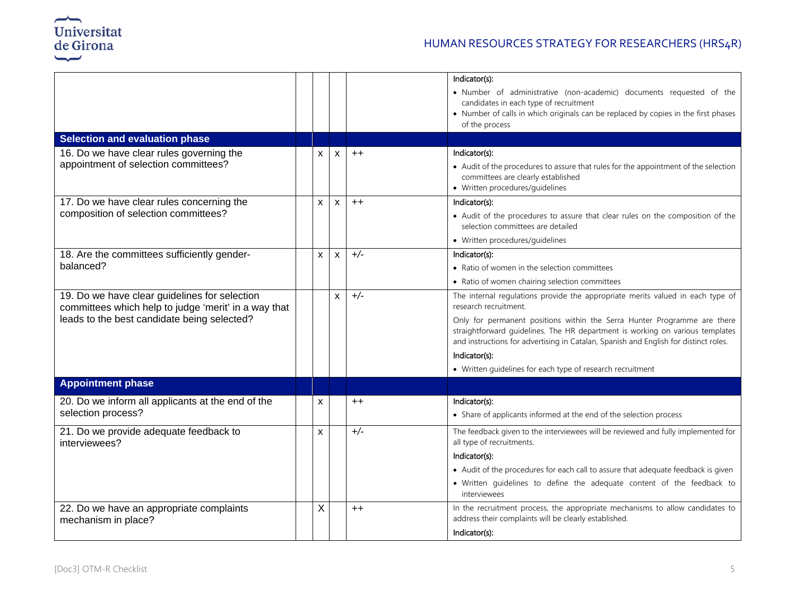

## HUMAN RESOURCES STRATEGY FOR RESEARCHERS (HRS4R)

|                                                                                                       |                           |              |       | Indicator(s):                                                                                                                                                         |
|-------------------------------------------------------------------------------------------------------|---------------------------|--------------|-------|-----------------------------------------------------------------------------------------------------------------------------------------------------------------------|
|                                                                                                       |                           |              |       | • Number of administrative (non-academic) documents requested of the                                                                                                  |
|                                                                                                       |                           |              |       | candidates in each type of recruitment                                                                                                                                |
|                                                                                                       |                           |              |       | • Number of calls in which originals can be replaced by copies in the first phases<br>of the process                                                                  |
| <b>Selection and evaluation phase</b>                                                                 |                           |              |       |                                                                                                                                                                       |
| 16. Do we have clear rules governing the                                                              | X                         | X            | $++$  | Indicator(s):                                                                                                                                                         |
| appointment of selection committees?                                                                  |                           |              |       | • Audit of the procedures to assure that rules for the appointment of the selection                                                                                   |
|                                                                                                       |                           |              |       | committees are clearly established                                                                                                                                    |
|                                                                                                       |                           |              |       | • Written procedures/guidelines                                                                                                                                       |
| 17. Do we have clear rules concerning the                                                             | X                         | $\mathsf{x}$ | $++$  | Indicator(s):                                                                                                                                                         |
| composition of selection committees?                                                                  |                           |              |       | • Audit of the procedures to assure that clear rules on the composition of the<br>selection committees are detailed                                                   |
|                                                                                                       |                           |              |       | • Written procedures/guidelines                                                                                                                                       |
| 18. Are the committees sufficiently gender-                                                           | $\mathsf{x}$              | $\mathsf{X}$ | $+/-$ | Indicator(s):                                                                                                                                                         |
| balanced?                                                                                             |                           |              |       | • Ratio of women in the selection committees                                                                                                                          |
|                                                                                                       |                           |              |       | • Ratio of women chairing selection committees                                                                                                                        |
| 19. Do we have clear guidelines for selection<br>committees which help to judge 'merit' in a way that |                           | $\mathsf{x}$ | $+/-$ | The internal regulations provide the appropriate merits valued in each type of<br>research recruitment.                                                               |
| leads to the best candidate being selected?                                                           |                           |              |       | Only for permanent positions within the Serra Hunter Programme are there                                                                                              |
|                                                                                                       |                           |              |       | straightforward guidelines. The HR department is working on various templates<br>and instructions for advertising in Catalan, Spanish and English for distinct roles. |
|                                                                                                       |                           |              |       | Indicator(s):                                                                                                                                                         |
|                                                                                                       |                           |              |       | • Written guidelines for each type of research recruitment                                                                                                            |
| <b>Appointment phase</b>                                                                              |                           |              |       |                                                                                                                                                                       |
| 20. Do we inform all applicants at the end of the                                                     | X                         |              | $++$  | Indicator(s):                                                                                                                                                         |
| selection process?                                                                                    |                           |              |       | • Share of applicants informed at the end of the selection process                                                                                                    |
| 21. Do we provide adequate feedback to<br>interviewees?                                               | $\boldsymbol{\mathsf{x}}$ |              | $+/-$ | The feedback given to the interviewees will be reviewed and fully implemented for<br>all type of recruitments.                                                        |
|                                                                                                       |                           |              |       | Indicator(s):                                                                                                                                                         |
|                                                                                                       |                           |              |       | • Audit of the procedures for each call to assure that adequate feedback is given                                                                                     |
|                                                                                                       |                           |              |       | · Written guidelines to define the adequate content of the feedback to<br>interviewees                                                                                |
| 22. Do we have an appropriate complaints<br>mechanism in place?                                       | Χ                         |              | $++$  | In the recruitment process, the appropriate mechanisms to allow candidates to<br>address their complaints will be clearly established.                                |
|                                                                                                       |                           |              |       | Indicator(s):                                                                                                                                                         |